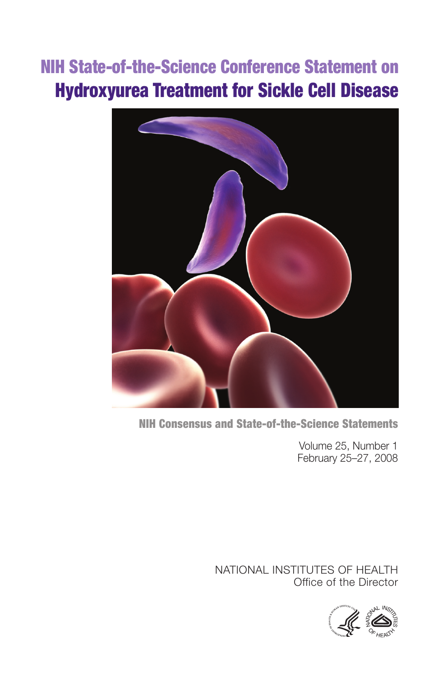# NIH State-of-the-Science Conference Statement on Hydroxyurea Treatment for Sickle Cell Disease



NIH Consensus and State-of-the-Science Statements

Volume 25, Number 1 February 25–27, 2008

NATIONAL INSTITUTES OF HEALTH Office of the Director

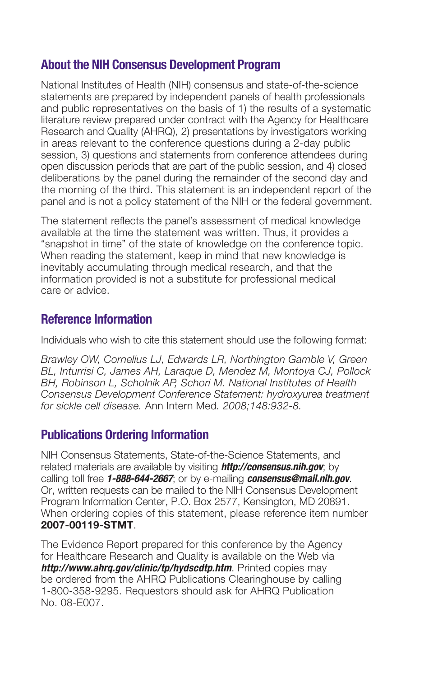# About the NIH Consensus Development Program

National Institutes of Health (NIH) consensus and state-of-the-science statements are prepared by independent panels of health professionals and public representatives on the basis of 1) the results of a systematic literature review prepared under contract with the Agency for Healthcare Research and Quality (AHRQ), 2) presentations by investigators working in areas relevant to the conference questions during a 2-day public session, 3) questions and statements from conference attendees during open discussion periods that are part of the public session, and 4) closed deliberations by the panel during the remainder of the second day and the morning of the third. This statement is an independent report of the panel and is not a policy statement of the NIH or the federal government.

The statement reflects the panel's assessment of medical knowledge available at the time the statement was written. Thus, it provides a "snapshot in time" of the state of knowledge on the conference topic. When reading the statement, keep in mind that new knowledge is inevitably accumulating through medical research, and that the information provided is not a substitute for professional medical care or advice.

# Reference Information

Individuals who wish to cite this statement should use the following format:

 *BH, Robinson L, Scholnik AP, Schori M. National Institutes of Health Brawley OW, Cornelius LJ, Edwards LR, Northington Gamble V, Green BL, Inturrisi C, James AH, Laraque D, Mendez M, Montoya CJ, Pollock Consensus Development Conference Statement: hydroxyurea treatment for sickle cell disease.* Ann Intern Med*. 2008;148:932-8.* 

# Publications Ordering Information

NIH Consensus Statements, State-of-the-Science Statements, and related materials are available by visiting *http://consensus.nih.gov*; by calling toll free *1-888-644-2667*; or by e-mailing *consensus@mail.nih.gov*. Or, written requests can be mailed to the NIH Consensus Development Program Information Center, P.O. Box 2577, Kensington, MD 20891. When ordering copies of this statement, please reference item number 2007-00119-STMT.

 1-800-358-9295. Requestors should ask for AHRQ Publication The Evidence Report prepared for this conference by the Agency for Healthcare Research and Quality is available on the Web via *http://www.ahrq.gov/clinic/tp/hydscdtp.htm*. Printed copies may be ordered from the AHRQ Publications Clearinghouse by calling No. 08-E007.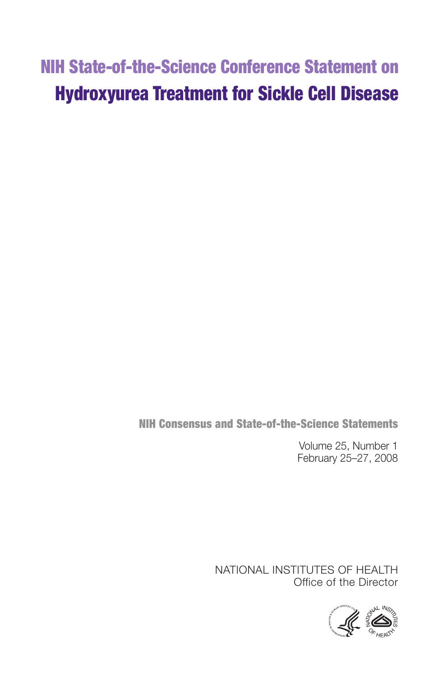NIH State-of-the-Science Conference Statement on Hydroxyurea Treatment for Sickle Cell Disease

NIH Consensus and State-of-the-Science Statements

Volume 25, Number 1 February 25–27, 2008

NATIONAL INSTITUTES OF HEALTH Office of the Director

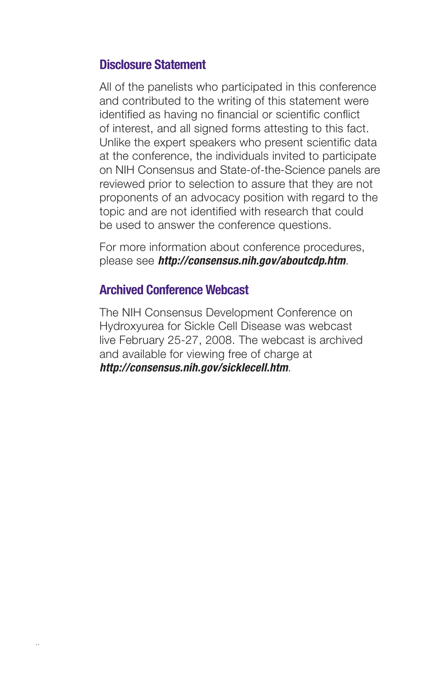# Disclosure Statement

 identified as having no financial or scientific conflict reviewed prior to selection to assure that they are not All of the panelists who participated in this conference and contributed to the writing of this statement were of interest, and all signed forms attesting to this fact. Unlike the expert speakers who present scientific data at the conference, the individuals invited to participate on NIH Consensus and State-of-the-Science panels are proponents of an advocacy position with regard to the topic and are not identified with research that could be used to answer the conference questions.

For more information about conference procedures, please see *http://consensus.nih.gov/aboutcdp.htm*.

# Archived Conference Webcast

 The NIH Consensus Development Conference on Hydroxyurea for Sickle Cell Disease was webcast and available for viewing free of charge at live February 25-27, 2008. The webcast is archived *http://consensus.nih.gov/sicklecell.htm*.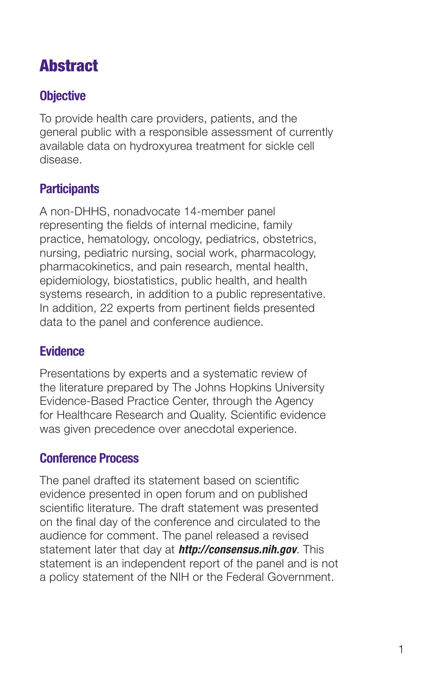# **Abstract**

# **Objective**

 available data on hydroxyurea treatment for sickle cell To provide health care providers, patients, and the general public with a responsible assessment of currently disease.

# **Participants**

 epidemiology, biostatistics, public health, and health A non-DHHS, nonadvocate 14-member panel representing the fields of internal medicine, family practice, hematology, oncology, pediatrics, obstetrics, nursing, pediatric nursing, social work, pharmacology, pharmacokinetics, and pain research, mental health, systems research, in addition to a public representative. In addition, 22 experts from pertinent fields presented data to the panel and conference audience.

# **Evidence**

Presentations by experts and a systematic review of the literature prepared by The Johns Hopkins University Evidence-Based Practice Center, through the Agency for Healthcare Research and Quality. Scientific evidence was given precedence over anecdotal experience.

# Conference Process

The panel drafted its statement based on scientific evidence presented in open forum and on published scientific literature. The draft statement was presented on the final day of the conference and circulated to the audience for comment. The panel released a revised statement later that day at *http://consensus.nih.gov*. This statement is an independent report of the panel and is not a policy statement of the NIH or the Federal Government.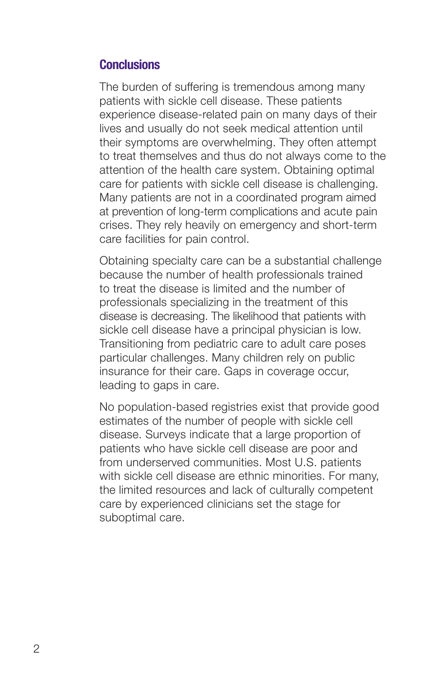# **Conclusions**

 patients with sickle cell disease. These patients lives and usually do not seek medical attention until attention of the health care system. Obtaining optimal Many patients are not in a coordinated program aimed at prevention of long-term complications and acute pain The burden of suffering is tremendous among many experience disease-related pain on many days of their their symptoms are overwhelming. They often attempt to treat themselves and thus do not always come to the care for patients with sickle cell disease is challenging. crises. They rely heavily on emergency and short-term care facilities for pain control.

 professionals specializing in the treatment of this Transitioning from pediatric care to adult care poses Obtaining specialty care can be a substantial challenge because the number of health professionals trained to treat the disease is limited and the number of disease is decreasing. The likelihood that patients with sickle cell disease have a principal physician is low. particular challenges. Many children rely on public insurance for their care. Gaps in coverage occur, leading to gaps in care.

 estimates of the number of people with sickle cell from underserved communities. Most U.S. patients the limited resources and lack of culturally competent No population-based registries exist that provide good disease. Surveys indicate that a large proportion of patients who have sickle cell disease are poor and with sickle cell disease are ethnic minorities. For many, care by experienced clinicians set the stage for suboptimal care.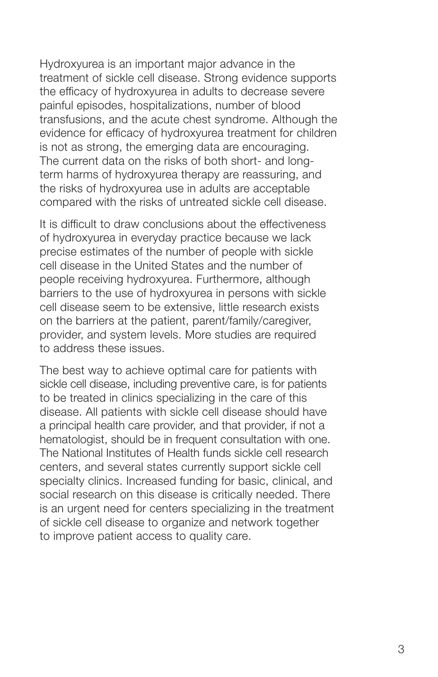Hydroxyurea is an important major advance in the treatment of sickle cell disease. Strong evidence supports the efficacy of hydroxyurea in adults to decrease severe painful episodes, hospitalizations, number of blood transfusions, and the acute chest syndrome. Although the evidence for efficacy of hydroxyurea treatment for children is not as strong, the emerging data are encouraging. The current data on the risks of both short- and longterm harms of hydroxyurea therapy are reassuring, and the risks of hydroxyurea use in adults are acceptable compared with the risks of untreated sickle cell disease.

 people receiving hydroxyurea. Furthermore, although cell disease seem to be extensive, little research exists It is difficult to draw conclusions about the effectiveness of hydroxyurea in everyday practice because we lack precise estimates of the number of people with sickle cell disease in the United States and the number of barriers to the use of hydroxyurea in persons with sickle on the barriers at the patient, parent/family/caregiver, provider, and system levels. More studies are required to address these issues.

 The best way to achieve optimal care for patients with to be treated in clinics specializing in the care of this The National Institutes of Health funds sickle cell research centers, and several states currently support sickle cell sickle cell disease, including preventive care, is for patients disease. All patients with sickle cell disease should have a principal health care provider, and that provider, if not a hematologist, should be in frequent consultation with one. specialty clinics. Increased funding for basic, clinical, and social research on this disease is critically needed. There is an urgent need for centers specializing in the treatment of sickle cell disease to organize and network together to improve patient access to quality care.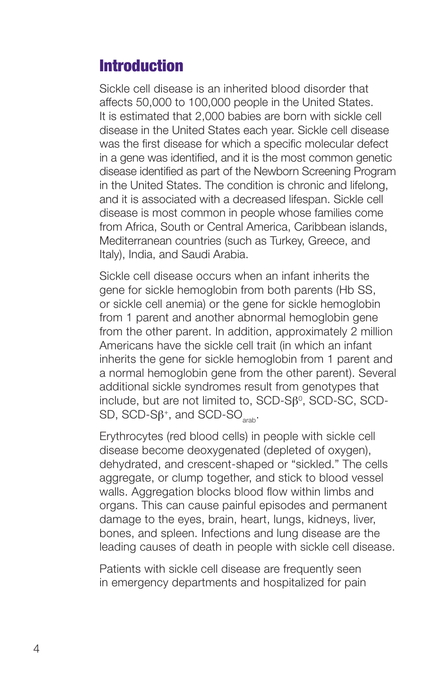# Introduction

 Sickle cell disease is an inherited blood disorder that It is estimated that 2,000 babies are born with sickle cell affects 50,000 to 100,000 people in the United States. disease in the United States each year. Sickle cell disease was the first disease for which a specific molecular defect in a gene was identified, and it is the most common genetic disease identified as part of the Newborn Screening Program in the United States. The condition is chronic and lifelong, and it is associated with a decreased lifespan. Sickle cell disease is most common in people whose families come from Africa, South or Central America, Caribbean islands, Mediterranean countries (such as Turkey, Greece, and Italy), India, and Saudi Arabia.

 or sickle cell anemia) or the gene for sickle hemoglobin from the other parent. In addition, approximately 2 million Americans have the sickle cell trait (in which an infant additional sickle syndromes result from genotypes that Sickle cell disease occurs when an infant inherits the gene for sickle hemoglobin from both parents (Hb SS, from 1 parent and another abnormal hemoglobin gene inherits the gene for sickle hemoglobin from 1 parent and a normal hemoglobin gene from the other parent). Several include, but are not limited to,  $SCD-S\beta^0$ ,  $SCD-SC$ ,  $SCD-$ SD, SCD-S $\beta^+$ , and SCD-SO<sub>arab</sub>.

 Erythrocytes (red blood cells) in people with sickle cell aggregate, or clump together, and stick to blood vessel disease become deoxygenated (depleted of oxygen), dehydrated, and crescent-shaped or "sickled." The cells walls. Aggregation blocks blood flow within limbs and organs. This can cause painful episodes and permanent damage to the eyes, brain, heart, lungs, kidneys, liver, bones, and spleen. Infections and lung disease are the leading causes of death in people with sickle cell disease.

 Patients with sickle cell disease are frequently seen in emergency departments and hospitalized for pain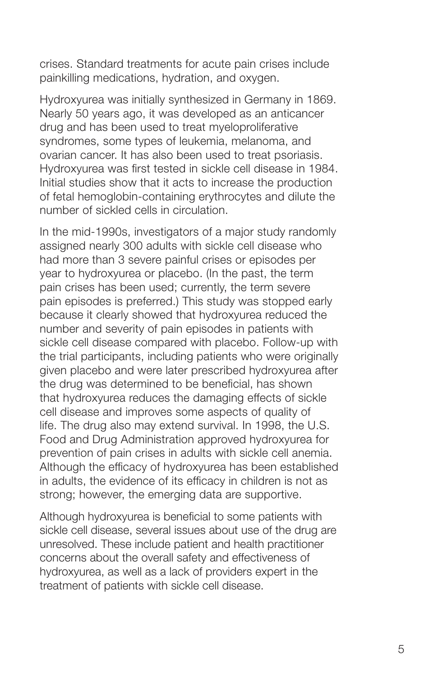crises. Standard treatments for acute pain crises include painkilling medications, hydration, and oxygen.

 Initial studies show that it acts to increase the production Hydroxyurea was initially synthesized in Germany in 1869. Nearly 50 years ago, it was developed as an anticancer drug and has been used to treat myeloproliferative syndromes, some types of leukemia, melanoma, and ovarian cancer. It has also been used to treat psoriasis. Hydroxyurea was first tested in sickle cell disease in 1984. of fetal hemoglobin-containing erythrocytes and dilute the number of sickled cells in circulation.

 assigned nearly 300 adults with sickle cell disease who number and severity of pain episodes in patients with sickle cell disease compared with placebo. Follow-up with In the mid-1990s, investigators of a major study randomly had more than 3 severe painful crises or episodes per year to hydroxyurea or placebo. (In the past, the term pain crises has been used; currently, the term severe pain episodes is preferred.) This study was stopped early because it clearly showed that hydroxyurea reduced the the trial participants, including patients who were originally given placebo and were later prescribed hydroxyurea after the drug was determined to be beneficial, has shown that hydroxyurea reduces the damaging effects of sickle cell disease and improves some aspects of quality of life. The drug also may extend survival. In 1998, the U.S. Food and Drug Administration approved hydroxyurea for prevention of pain crises in adults with sickle cell anemia. Although the efficacy of hydroxyurea has been established in adults, the evidence of its efficacy in children is not as strong; however, the emerging data are supportive.

 Although hydroxyurea is beneficial to some patients with sickle cell disease, several issues about use of the drug are unresolved. These include patient and health practitioner concerns about the overall safety and effectiveness of hydroxyurea, as well as a lack of providers expert in the treatment of patients with sickle cell disease.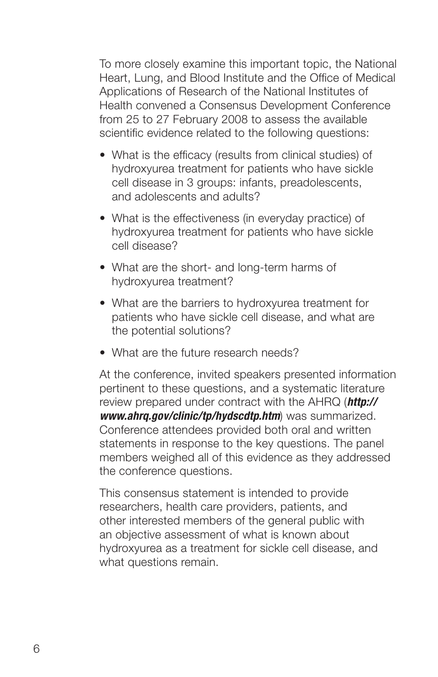Heart, Lung, and Blood Institute and the Office of Medical To more closely examine this important topic, the National Applications of Research of the National Institutes of Health convened a Consensus Development Conference from 25 to 27 February 2008 to assess the available scientific evidence related to the following questions:

- What is the efficacy (results from clinical studies) of hydroxyurea treatment for patients who have sickle cell disease in 3 groups: infants, preadolescents, and adolescents and adults?
- What is the effectiveness (in everyday practice) of hydroxyurea treatment for patients who have sickle cell disease?
- What are the short- and long-term harms of hydroxyurea treatment?
- What are the barriers to hydroxyurea treatment for patients who have sickle cell disease, and what are the potential solutions?
- What are the future research needs?

At the conference, invited speakers presented information pertinent to these questions, and a systematic literature review prepared under contract with the AHRQ (*http:// www.ahrq.gov/clinic/tp/hydscdtp.htm*) was summarized. Conference attendees provided both oral and written statements in response to the key questions. The panel members weighed all of this evidence as they addressed the conference questions.

 an objective assessment of what is known about This consensus statement is intended to provide researchers, health care providers, patients, and other interested members of the general public with hydroxyurea as a treatment for sickle cell disease, and what questions remain.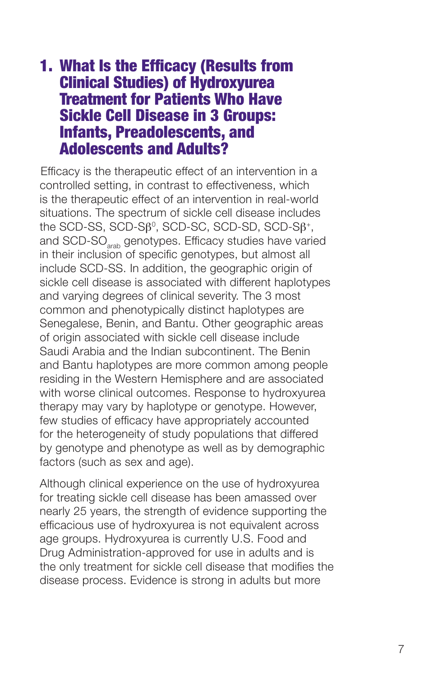# Sickle Cell Disease in 3 Groups: 1. What Is the Efficacy (Results from Clinical Studies) of Hydroxyurea Treatment for Patients Who Have Infants, Preadolescents, and Adolescents and Adults?

 controlled setting, in contrast to effectiveness, which situations. The spectrum of sickle cell disease includes in their inclusion of specific genotypes, but almost all and varying degrees of clinical severity. The 3 most Saudi Arabia and the Indian subcontinent. The Benin Efficacy is the therapeutic effect of an intervention in a is the therapeutic effect of an intervention in real-world the SCD-SS, SCD-S $\beta^0$ , SCD-SC, SCD-SD, SCD-S $\beta^+$ , and SCD-SO<sub>arab</sub> genotypes. Efficacy studies have varied include SCD-SS. In addition, the geographic origin of sickle cell disease is associated with different haplotypes common and phenotypically distinct haplotypes are Senegalese, Benin, and Bantu. Other geographic areas of origin associated with sickle cell disease include and Bantu haplotypes are more common among people residing in the Western Hemisphere and are associated with worse clinical outcomes. Response to hydroxyurea therapy may vary by haplotype or genotype. However, few studies of efficacy have appropriately accounted for the heterogeneity of study populations that differed by genotype and phenotype as well as by demographic factors (such as sex and age).

 efficacious use of hydroxyurea is not equivalent across Drug Administration-approved for use in adults and is Although clinical experience on the use of hydroxyurea for treating sickle cell disease has been amassed over nearly 25 years, the strength of evidence supporting the age groups. Hydroxyurea is currently U.S. Food and the only treatment for sickle cell disease that modifies the disease process. Evidence is strong in adults but more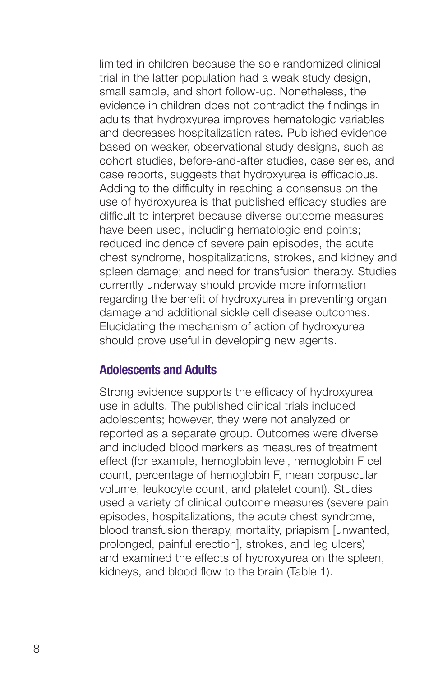limited in children because the sole randomized clinical evidence in children does not contradict the findings in trial in the latter population had a weak study design, small sample, and short follow-up. Nonetheless, the adults that hydroxyurea improves hematologic variables and decreases hospitalization rates. Published evidence based on weaker, observational study designs, such as cohort studies, before-and-after studies, case series, and case reports, suggests that hydroxyurea is efficacious. Adding to the difficulty in reaching a consensus on the use of hydroxyurea is that published efficacy studies are difficult to interpret because diverse outcome measures have been used, including hematologic end points; reduced incidence of severe pain episodes, the acute chest syndrome, hospitalizations, strokes, and kidney and spleen damage; and need for transfusion therapy. Studies currently underway should provide more information regarding the benefit of hydroxyurea in preventing organ damage and additional sickle cell disease outcomes. Elucidating the mechanism of action of hydroxyurea should prove useful in developing new agents.

# Adolescents and Adults

 and included blood markers as measures of treatment volume, leukocyte count, and platelet count). Studies prolonged, painful erection], strokes, and leg ulcers) Strong evidence supports the efficacy of hydroxyurea use in adults. The published clinical trials included adolescents; however, they were not analyzed or reported as a separate group. Outcomes were diverse effect (for example, hemoglobin level, hemoglobin F cell count, percentage of hemoglobin F, mean corpuscular used a variety of clinical outcome measures (severe pain episodes, hospitalizations, the acute chest syndrome, blood transfusion therapy, mortality, priapism [unwanted, and examined the effects of hydroxyurea on the spleen, kidneys, and blood flow to the brain (Table 1).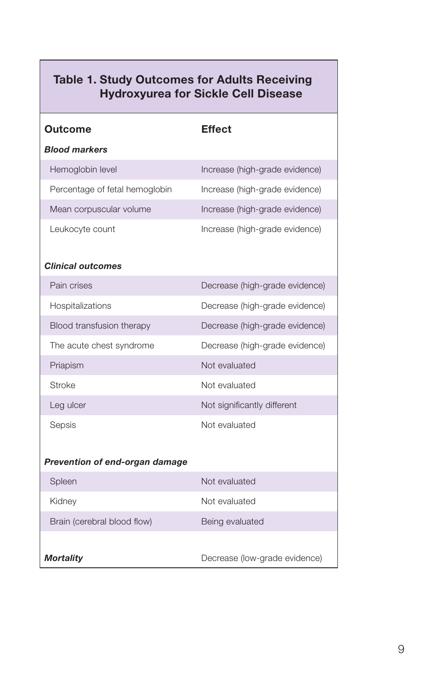| <b>Table 1. Study Outcomes for Adults Receiving</b><br><b>Hydroxyurea for Sickle Cell Disease</b> |                                |  |  |  |
|---------------------------------------------------------------------------------------------------|--------------------------------|--|--|--|
| Outcome                                                                                           | <b>Effect</b>                  |  |  |  |
| <b>Blood markers</b>                                                                              |                                |  |  |  |
| Hemoglobin level                                                                                  | Increase (high-grade evidence) |  |  |  |
| Percentage of fetal hemoglobin                                                                    | Increase (high-grade evidence) |  |  |  |
| Mean corpuscular volume                                                                           | Increase (high-grade evidence) |  |  |  |
| Leukocyte count                                                                                   | Increase (high-grade evidence) |  |  |  |
| <b>Clinical outcomes</b>                                                                          |                                |  |  |  |
| Pain crises                                                                                       | Decrease (high-grade evidence) |  |  |  |
| Hospitalizations                                                                                  | Decrease (high-grade evidence) |  |  |  |
| Blood transfusion therapy                                                                         | Decrease (high-grade evidence) |  |  |  |
| The acute chest syndrome                                                                          | Decrease (high-grade evidence) |  |  |  |
| Priapism                                                                                          | Not evaluated                  |  |  |  |
| Stroke                                                                                            | Not evaluated                  |  |  |  |
| Leg ulcer                                                                                         | Not significantly different    |  |  |  |
| Sepsis                                                                                            | Not evaluated                  |  |  |  |
| Prevention of end-organ damage                                                                    |                                |  |  |  |
| Spleen                                                                                            | Not evaluated                  |  |  |  |
| Kidney                                                                                            | Not evaluated                  |  |  |  |
| Brain (cerebral blood flow)                                                                       | Being evaluated                |  |  |  |
| <b>Mortality</b>                                                                                  | Decrease (low-grade evidence)  |  |  |  |

 $\mathcal{L}^{\text{max}}$ 

┓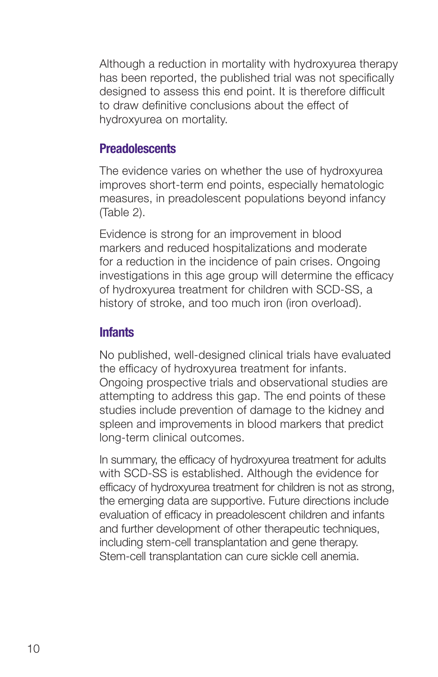Although a reduction in mortality with hydroxyurea therapy has been reported, the published trial was not specifically designed to assess this end point. It is therefore difficult to draw definitive conclusions about the effect of hydroxyurea on mortality.

# **Preadolescents**

The evidence varies on whether the use of hydroxyurea improves short-term end points, especially hematologic measures, in preadolescent populations beyond infancy (Table 2).

 for a reduction in the incidence of pain crises. Ongoing Evidence is strong for an improvement in blood markers and reduced hospitalizations and moderate investigations in this age group will determine the efficacy of hydroxyurea treatment for children with SCD-SS, a history of stroke, and too much iron (iron overload).

# **Infants**

No published, well-designed clinical trials have evaluated the efficacy of hydroxyurea treatment for infants. Ongoing prospective trials and observational studies are attempting to address this gap. The end points of these studies include prevention of damage to the kidney and spleen and improvements in blood markers that predict long-term clinical outcomes.

 evaluation of efficacy in preadolescent children and infants In summary, the efficacy of hydroxyurea treatment for adults with SCD-SS is established. Although the evidence for efficacy of hydroxyurea treatment for children is not as strong, the emerging data are supportive. Future directions include and further development of other therapeutic techniques, including stem-cell transplantation and gene therapy. Stem-cell transplantation can cure sickle cell anemia.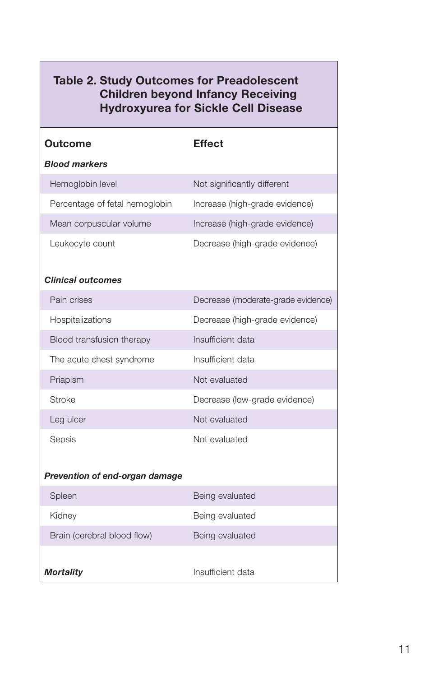| <b>Table 2. Study Outcomes for Preadolescent</b><br><b>Children beyond Infancy Receiving</b><br><b>Hydroxyurea for Sickle Cell Disease</b> |                                    |  |  |  |
|--------------------------------------------------------------------------------------------------------------------------------------------|------------------------------------|--|--|--|
| Outcome                                                                                                                                    | <b>Effect</b>                      |  |  |  |
| <b>Blood markers</b>                                                                                                                       |                                    |  |  |  |
| Hemoglobin level                                                                                                                           | Not significantly different        |  |  |  |
| Percentage of fetal hemoglobin                                                                                                             | Increase (high-grade evidence)     |  |  |  |
| Mean corpuscular volume                                                                                                                    | Increase (high-grade evidence)     |  |  |  |
| Leukocyte count                                                                                                                            | Decrease (high-grade evidence)     |  |  |  |
| <b>Clinical outcomes</b>                                                                                                                   |                                    |  |  |  |
| Pain crises                                                                                                                                | Decrease (moderate-grade evidence) |  |  |  |
| Hospitalizations                                                                                                                           | Decrease (high-grade evidence)     |  |  |  |
| Blood transfusion therapy                                                                                                                  | Insufficient data                  |  |  |  |
| The acute chest syndrome                                                                                                                   | Insufficient data                  |  |  |  |
| Priapism                                                                                                                                   | Not evaluated                      |  |  |  |
| Stroke                                                                                                                                     | Decrease (low-grade evidence)      |  |  |  |
| Leg ulcer                                                                                                                                  | Not evaluated                      |  |  |  |
| Sepsis                                                                                                                                     | Not evaluated                      |  |  |  |
| Prevention of end-organ damage                                                                                                             |                                    |  |  |  |
| Spleen                                                                                                                                     | Being evaluated                    |  |  |  |
| Kidney                                                                                                                                     | Being evaluated                    |  |  |  |
| Brain (cerebral blood flow)                                                                                                                | Being evaluated                    |  |  |  |
| <b>Mortality</b>                                                                                                                           | Insufficient data                  |  |  |  |

 $\overline{\phantom{a}}$ 

**Contract Contract**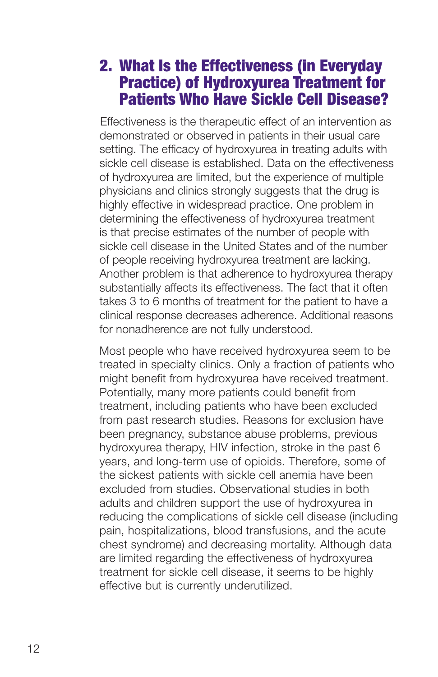# 2. What Is the Effectiveness (in Everyday Practice) of Hydroxyurea Treatment for Patients Who Have Sickle Cell Disease?

 highly effective in widespread practice. One problem in Effectiveness is the therapeutic effect of an intervention as demonstrated or observed in patients in their usual care setting. The efficacy of hydroxyurea in treating adults with sickle cell disease is established. Data on the effectiveness of hydroxyurea are limited, but the experience of multiple physicians and clinics strongly suggests that the drug is determining the effectiveness of hydroxyurea treatment is that precise estimates of the number of people with sickle cell disease in the United States and of the number of people receiving hydroxyurea treatment are lacking. Another problem is that adherence to hydroxyurea therapy substantially affects its effectiveness. The fact that it often takes 3 to 6 months of treatment for the patient to have a clinical response decreases adherence. Additional reasons for nonadherence are not fully understood.

 been pregnancy, substance abuse problems, previous hydroxyurea therapy, HIV infection, stroke in the past 6 the sickest patients with sickle cell anemia have been excluded from studies. Observational studies in both adults and children support the use of hydroxyurea in Most people who have received hydroxyurea seem to be treated in specialty clinics. Only a fraction of patients who might benefit from hydroxyurea have received treatment. Potentially, many more patients could benefit from treatment, including patients who have been excluded from past research studies. Reasons for exclusion have years, and long-term use of opioids. Therefore, some of reducing the complications of sickle cell disease (including pain, hospitalizations, blood transfusions, and the acute chest syndrome) and decreasing mortality. Although data are limited regarding the effectiveness of hydroxyurea treatment for sickle cell disease, it seems to be highly effective but is currently underutilized.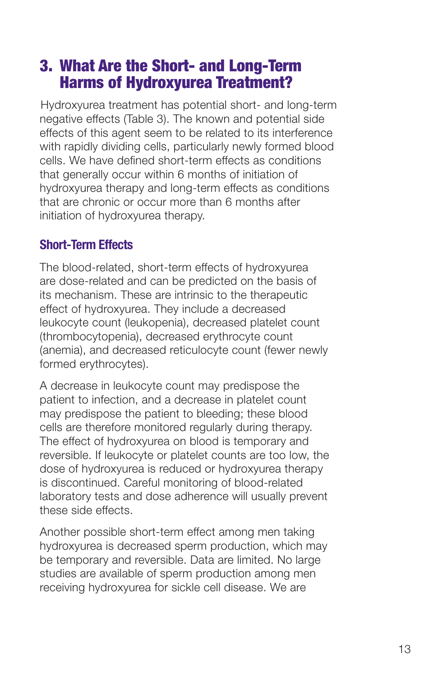# 3. What Are the Short- and Long-Term Harms of Hydroxyurea Treatment?

 cells. We have defined short-term effects as conditions Hydroxyurea treatment has potential short- and long-term negative effects (Table 3). The known and potential side effects of this agent seem to be related to its interference with rapidly dividing cells, particularly newly formed blood that generally occur within 6 months of initiation of hydroxyurea therapy and long-term effects as conditions that are chronic or occur more than 6 months after initiation of hydroxyurea therapy.

# Short-Term Effects

 leukocyte count (leukopenia), decreased platelet count (thrombocytopenia), decreased erythrocyte count The blood-related, short-term effects of hydroxyurea are dose-related and can be predicted on the basis of its mechanism. These are intrinsic to the therapeutic effect of hydroxyurea. They include a decreased (anemia), and decreased reticulocyte count (fewer newly formed erythrocytes).

 patient to infection, and a decrease in platelet count A decrease in leukocyte count may predispose the may predispose the patient to bleeding; these blood cells are therefore monitored regularly during therapy. The effect of hydroxyurea on blood is temporary and reversible. If leukocyte or platelet counts are too low, the dose of hydroxyurea is reduced or hydroxyurea therapy is discontinued. Careful monitoring of blood-related laboratory tests and dose adherence will usually prevent these side effects.

Another possible short-term effect among men taking hydroxyurea is decreased sperm production, which may be temporary and reversible. Data are limited. No large studies are available of sperm production among men receiving hydroxyurea for sickle cell disease. We are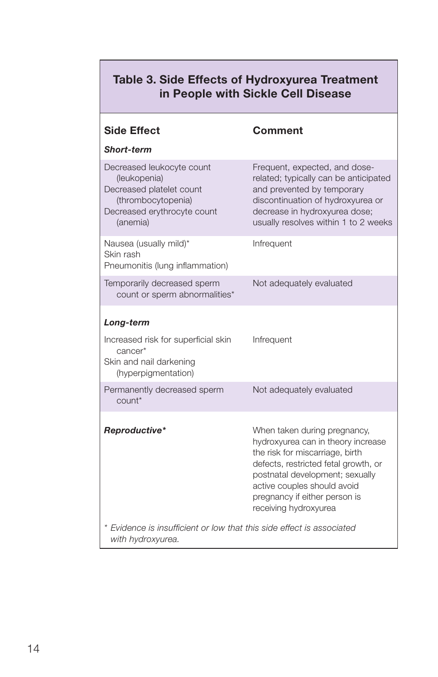| Table 3. Side Effects of Hydroxyurea Treatment<br>in People with Sickle Cell Disease                                                   |                                                                                                                                                                                                                                                                           |  |  |  |
|----------------------------------------------------------------------------------------------------------------------------------------|---------------------------------------------------------------------------------------------------------------------------------------------------------------------------------------------------------------------------------------------------------------------------|--|--|--|
| Side Effect                                                                                                                            | Comment                                                                                                                                                                                                                                                                   |  |  |  |
| <b>Short-term</b>                                                                                                                      |                                                                                                                                                                                                                                                                           |  |  |  |
| Decreased leukocyte count<br>(leukopenia)<br>Decreased platelet count<br>(thrombocytopenia)<br>Decreased erythrocyte count<br>(anemia) | Frequent, expected, and dose-<br>related; typically can be anticipated<br>and prevented by temporary<br>discontinuation of hydroxyurea or<br>decrease in hydroxyurea dose;<br>usually resolves within 1 to 2 weeks                                                        |  |  |  |
| Nausea (usually mild)*<br>Skin rash<br>Pneumonitis (lung inflammation)                                                                 | Infrequent                                                                                                                                                                                                                                                                |  |  |  |
| Temporarily decreased sperm<br>count or sperm abnormalities*                                                                           | Not adequately evaluated                                                                                                                                                                                                                                                  |  |  |  |
| Long-term                                                                                                                              |                                                                                                                                                                                                                                                                           |  |  |  |
| Increased risk for superficial skin<br>cancer*<br>Skin and nail darkening<br>(hyperpigmentation)                                       | Infrequent                                                                                                                                                                                                                                                                |  |  |  |
| Permanently decreased sperm<br>count*                                                                                                  | Not adequately evaluated                                                                                                                                                                                                                                                  |  |  |  |
| Reproductive*                                                                                                                          | When taken during pregnancy,<br>hydroxyurea can in theory increase<br>the risk for miscarriage, birth<br>defects, restricted fetal growth, or<br>postnatal development; sexually<br>active couples should avoid<br>pregnancy if either person is<br>receiving hydroxyurea |  |  |  |
| * Evidence is insufficient or low that this side effect is associated<br>with hydroxyurea.                                             |                                                                                                                                                                                                                                                                           |  |  |  |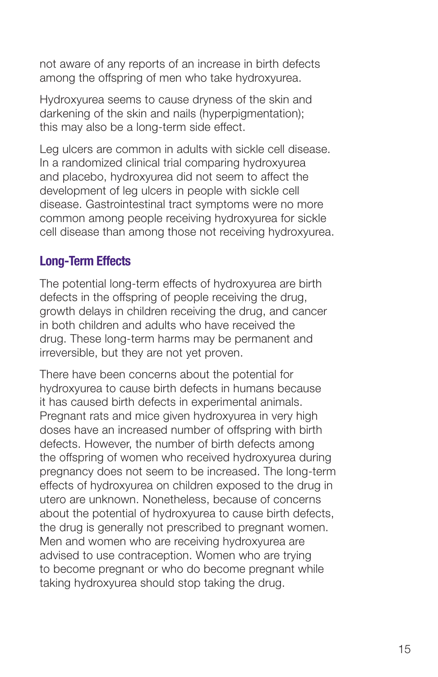not aware of any reports of an increase in birth defects among the offspring of men who take hydroxyurea.

Hydroxyurea seems to cause dryness of the skin and darkening of the skin and nails (hyperpigmentation); this may also be a long-term side effect.

 development of leg ulcers in people with sickle cell Leg ulcers are common in adults with sickle cell disease. In a randomized clinical trial comparing hydroxyurea and placebo, hydroxyurea did not seem to affect the disease. Gastrointestinal tract symptoms were no more common among people receiving hydroxyurea for sickle cell disease than among those not receiving hydroxyurea.

# Long-Term Effects

 The potential long-term effects of hydroxyurea are birth defects in the offspring of people receiving the drug, growth delays in children receiving the drug, and cancer in both children and adults who have received the drug. These long-term harms may be permanent and irreversible, but they are not yet proven.

 Pregnant rats and mice given hydroxyurea in very high doses have an increased number of offspring with birth defects. However, the number of birth defects among effects of hydroxyurea on children exposed to the drug in There have been concerns about the potential for hydroxyurea to cause birth defects in humans because it has caused birth defects in experimental animals. the offspring of women who received hydroxyurea during pregnancy does not seem to be increased. The long-term utero are unknown. Nonetheless, because of concerns about the potential of hydroxyurea to cause birth defects, the drug is generally not prescribed to pregnant women. Men and women who are receiving hydroxyurea are advised to use contraception. Women who are trying to become pregnant or who do become pregnant while taking hydroxyurea should stop taking the drug.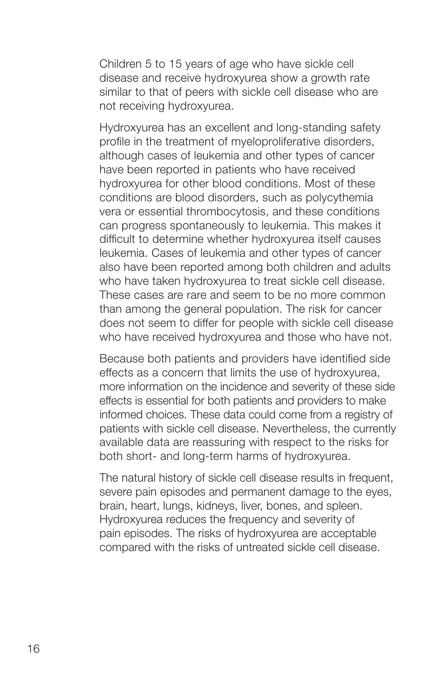Children 5 to 15 years of age who have sickle cell disease and receive hydroxyurea show a growth rate similar to that of peers with sickle cell disease who are not receiving hydroxyurea.

 vera or essential thrombocytosis, and these conditions can progress spontaneously to leukemia. This makes it difficult to determine whether hydroxyurea itself causes These cases are rare and seem to be no more common Hydroxyurea has an excellent and long-standing safety profile in the treatment of myeloproliferative disorders, although cases of leukemia and other types of cancer have been reported in patients who have received hydroxyurea for other blood conditions. Most of these conditions are blood disorders, such as polycythemia leukemia. Cases of leukemia and other types of cancer also have been reported among both children and adults who have taken hydroxyurea to treat sickle cell disease. than among the general population. The risk for cancer does not seem to differ for people with sickle cell disease who have received hydroxyurea and those who have not.

Because both patients and providers have identified side effects as a concern that limits the use of hydroxyurea, more information on the incidence and severity of these side effects is essential for both patients and providers to make informed choices. These data could come from a registry of patients with sickle cell disease. Nevertheless, the currently available data are reassuring with respect to the risks for both short- and long-term harms of hydroxyurea.

The natural history of sickle cell disease results in frequent, severe pain episodes and permanent damage to the eyes, brain, heart, lungs, kidneys, liver, bones, and spleen. Hydroxyurea reduces the frequency and severity of pain episodes. The risks of hydroxyurea are acceptable compared with the risks of untreated sickle cell disease.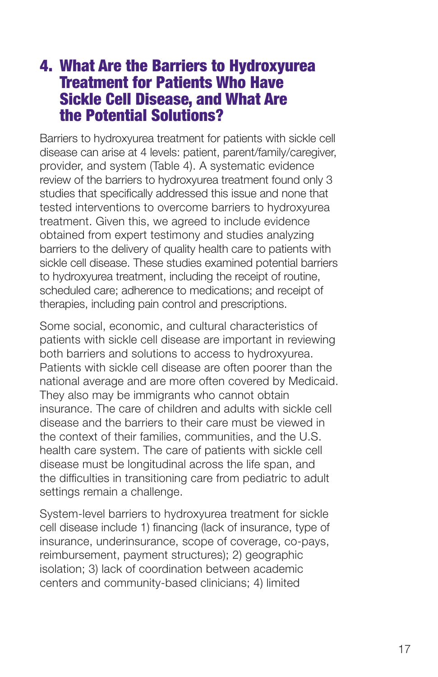# 4. What Are the Barriers to Hydroxyurea Treatment for Patients Who Have Sickle Cell Disease, and What Are the Potential Solutions?

 obtained from expert testimony and studies analyzing barriers to the delivery of quality health care to patients with Barriers to hydroxyurea treatment for patients with sickle cell disease can arise at 4 levels: patient, parent/family/caregiver, provider, and system (Table 4). A systematic evidence review of the barriers to hydroxyurea treatment found only 3 studies that specifically addressed this issue and none that tested interventions to overcome barriers to hydroxyurea treatment. Given this, we agreed to include evidence sickle cell disease. These studies examined potential barriers to hydroxyurea treatment, including the receipt of routine, scheduled care; adherence to medications; and receipt of therapies, including pain control and prescriptions.

 They also may be immigrants who cannot obtain health care system. The care of patients with sickle cell Some social, economic, and cultural characteristics of patients with sickle cell disease are important in reviewing both barriers and solutions to access to hydroxyurea. Patients with sickle cell disease are often poorer than the national average and are more often covered by Medicaid. insurance. The care of children and adults with sickle cell disease and the barriers to their care must be viewed in the context of their families, communities, and the U.S. disease must be longitudinal across the life span, and the difficulties in transitioning care from pediatric to adult settings remain a challenge.

System-level barriers to hydroxyurea treatment for sickle cell disease include 1) financing (lack of insurance, type of insurance, underinsurance, scope of coverage, co-pays, reimbursement, payment structures); 2) geographic isolation; 3) lack of coordination between academic centers and community-based clinicians; 4) limited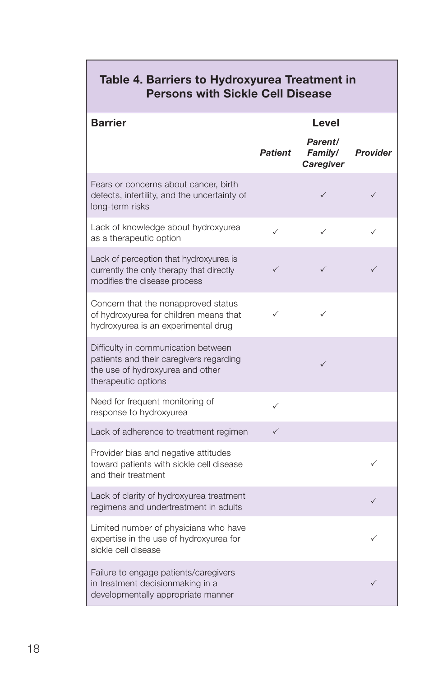| Table 4. Barriers to Hydroxyurea Treatment in<br><b>Persons with Sickle Cell Disease</b>                                                  |                |                                        |                 |  |  |
|-------------------------------------------------------------------------------------------------------------------------------------------|----------------|----------------------------------------|-----------------|--|--|
| <b>Barrier</b>                                                                                                                            |                | Level                                  |                 |  |  |
|                                                                                                                                           | <b>Patient</b> | Parent/<br>Family/<br><b>Caregiver</b> | <b>Provider</b> |  |  |
| Fears or concerns about cancer, birth<br>defects, infertility, and the uncertainty of<br>long-term risks                                  |                |                                        |                 |  |  |
| Lack of knowledge about hydroxyurea<br>as a therapeutic option                                                                            | ✓              |                                        |                 |  |  |
| Lack of perception that hydroxyurea is<br>currently the only therapy that directly<br>modifies the disease process                        |                |                                        |                 |  |  |
| Concern that the nonapproved status<br>of hydroxyurea for children means that<br>hydroxyurea is an experimental drug                      |                |                                        |                 |  |  |
| Difficulty in communication between<br>patients and their caregivers regarding<br>the use of hydroxyurea and other<br>therapeutic options |                |                                        |                 |  |  |
| Need for frequent monitoring of<br>response to hydroxyurea                                                                                | ✓              |                                        |                 |  |  |
| Lack of adherence to treatment regimen                                                                                                    | $\checkmark$   |                                        |                 |  |  |
| Provider bias and negative attitudes<br>toward patients with sickle cell disease<br>and their treatment                                   |                |                                        |                 |  |  |
| Lack of clarity of hydroxyurea treatment<br>regimens and undertreatment in adults                                                         |                |                                        |                 |  |  |
| Limited number of physicians who have<br>expertise in the use of hydroxyurea for<br>sickle cell disease                                   |                |                                        |                 |  |  |
| Failure to engage patients/caregivers<br>in treatment decisionmaking in a<br>developmentally appropriate manner                           |                |                                        |                 |  |  |

 $\overline{\phantom{a}}$ 

 $\sqrt{2}$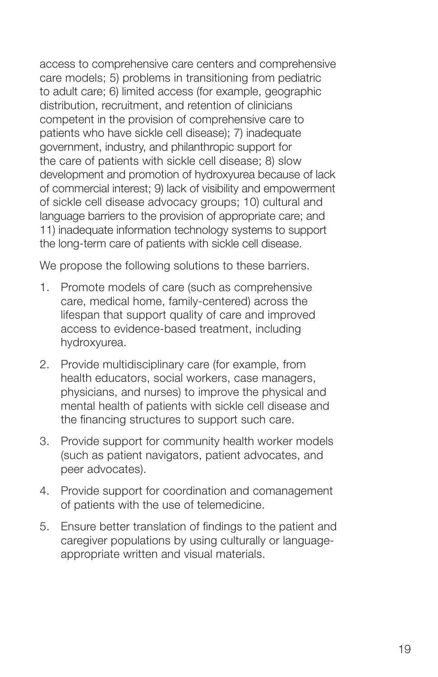care models; 5) problems in transitioning from pediatric competent in the provision of comprehensive care to the care of patients with sickle cell disease; 8) slow development and promotion of hydroxyurea because of lack access to comprehensive care centers and comprehensive to adult care; 6) limited access (for example, geographic distribution, recruitment, and retention of clinicians patients who have sickle cell disease); 7) inadequate government, industry, and philanthropic support for of commercial interest; 9) lack of visibility and empowerment of sickle cell disease advocacy groups; 10) cultural and language barriers to the provision of appropriate care; and 11) inadequate information technology systems to support the long-term care of patients with sickle cell disease.

We propose the following solutions to these barriers.

- access to evidence-based treatment, including 1. Promote models of care (such as comprehensive care, medical home, family-centered) across the lifespan that support quality of care and improved hydroxyurea.
- 2. Provide multidisciplinary care (for example, from health educators, social workers, case managers, physicians, and nurses) to improve the physical and mental health of patients with sickle cell disease and the financing structures to support such care.
- 3. Provide support for community health worker models (such as patient navigators, patient advocates, and peer advocates).
- 4. Provide support for coordination and comanagement of patients with the use of telemedicine.
- 5. Ensure better translation of findings to the patient and caregiver populations by using culturally or languageappropriate written and visual materials.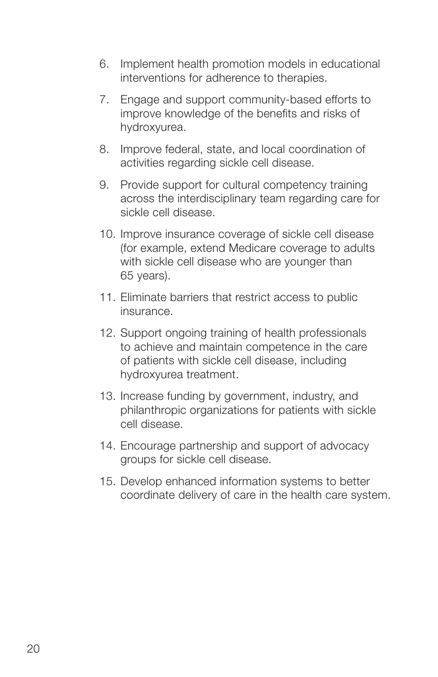- 6. Implement health promotion models in educational interventions for adherence to therapies.
- 7. Engage and support community-based efforts to improve knowledge of the benefits and risks of hydroxyurea.
- 8. Improve federal, state, and local coordination of activities regarding sickle cell disease.
- 9. Provide support for cultural competency training across the interdisciplinary team regarding care for sickle cell disease.
- (for example, extend Medicare coverage to adults with sickle cell disease who are younger than 10. Improve insurance coverage of sickle cell disease 65 years).
- 11. Eliminate barriers that restrict access to public insurance.
- 12. Support ongoing training of health professionals of patients with sickle cell disease, including to achieve and maintain competence in the care hydroxyurea treatment.
- 13. Increase funding by government, industry, and philanthropic organizations for patients with sickle cell disease.
- 14. Encourage partnership and support of advocacy groups for sickle cell disease.
- 15. Develop enhanced information systems to better coordinate delivery of care in the health care system.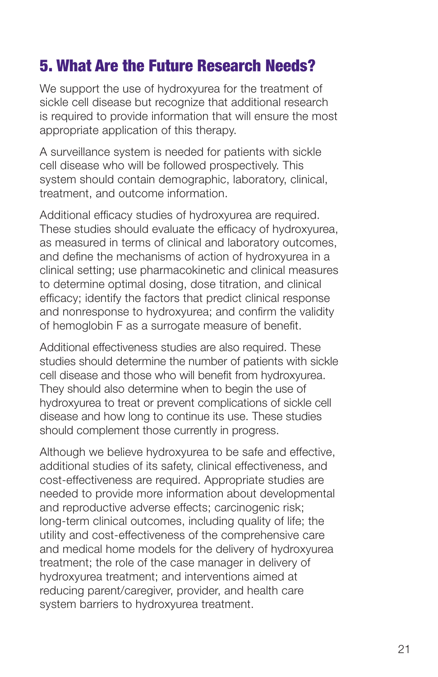# 5. What Are the Future Research Needs?

We support the use of hydroxyurea for the treatment of sickle cell disease but recognize that additional research is required to provide information that will ensure the most appropriate application of this therapy.

 cell disease who will be followed prospectively. This A surveillance system is needed for patients with sickle system should contain demographic, laboratory, clinical, treatment, and outcome information.

 to determine optimal dosing, dose titration, and clinical Additional efficacy studies of hydroxyurea are required. These studies should evaluate the efficacy of hydroxyurea, as measured in terms of clinical and laboratory outcomes, and define the mechanisms of action of hydroxyurea in a clinical setting; use pharmacokinetic and clinical measures efficacy; identify the factors that predict clinical response and nonresponse to hydroxyurea; and confirm the validity of hemoglobin F as a surrogate measure of benefit.

 disease and how long to continue its use. These studies Additional effectiveness studies are also required. These studies should determine the number of patients with sickle cell disease and those who will benefit from hydroxyurea. They should also determine when to begin the use of hydroxyurea to treat or prevent complications of sickle cell should complement those currently in progress.

 needed to provide more information about developmental hydroxyurea treatment; and interventions aimed at Although we believe hydroxyurea to be safe and effective, additional studies of its safety, clinical effectiveness, and cost-effectiveness are required. Appropriate studies are and reproductive adverse effects; carcinogenic risk; long-term clinical outcomes, including quality of life; the utility and cost-effectiveness of the comprehensive care and medical home models for the delivery of hydroxyurea treatment; the role of the case manager in delivery of reducing parent/caregiver, provider, and health care system barriers to hydroxyurea treatment.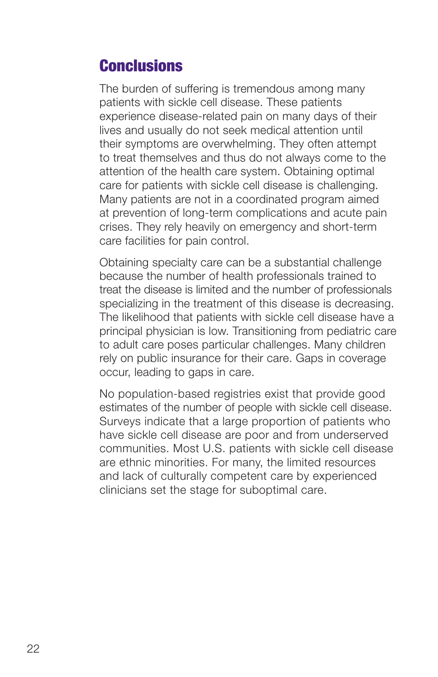# **Conclusions**

 patients with sickle cell disease. These patients lives and usually do not seek medical attention until attention of the health care system. Obtaining optimal The burden of suffering is tremendous among many experience disease-related pain on many days of their their symptoms are overwhelming. They often attempt to treat themselves and thus do not always come to the care for patients with sickle cell disease is challenging. Many patients are not in a coordinated program aimed at prevention of long-term complications and acute pain crises. They rely heavily on emergency and short-term care facilities for pain control.

 because the number of health professionals trained to Obtaining specialty care can be a substantial challenge treat the disease is limited and the number of professionals specializing in the treatment of this disease is decreasing. The likelihood that patients with sickle cell disease have a principal physician is low. Transitioning from pediatric care to adult care poses particular challenges. Many children rely on public insurance for their care. Gaps in coverage occur, leading to gaps in care.

 are ethnic minorities. For many, the limited resources No population-based registries exist that provide good estimates of the number of people with sickle cell disease. Surveys indicate that a large proportion of patients who have sickle cell disease are poor and from underserved communities. Most U.S. patients with sickle cell disease and lack of culturally competent care by experienced clinicians set the stage for suboptimal care.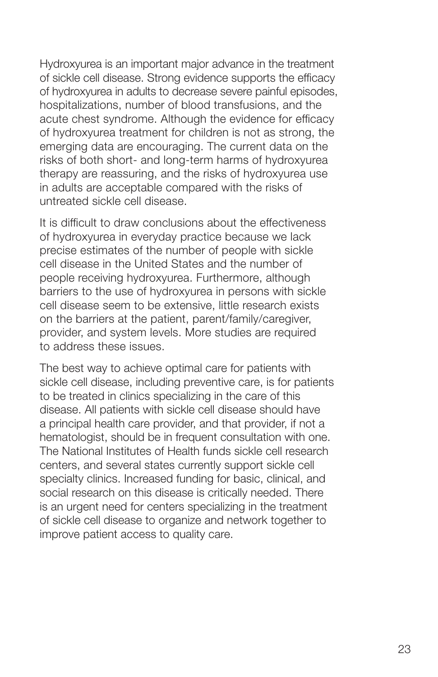Hydroxyurea is an important major advance in the treatment of sickle cell disease. Strong evidence supports the efficacy of hydroxyurea in adults to decrease severe painful episodes, hospitalizations, number of blood transfusions, and the acute chest syndrome. Although the evidence for efficacy of hydroxyurea treatment for children is not as strong, the emerging data are encouraging. The current data on the risks of both short- and long-term harms of hydroxyurea therapy are reassuring, and the risks of hydroxyurea use in adults are acceptable compared with the risks of untreated sickle cell disease.

 people receiving hydroxyurea. Furthermore, although cell disease seem to be extensive, little research exists It is difficult to draw conclusions about the effectiveness of hydroxyurea in everyday practice because we lack precise estimates of the number of people with sickle cell disease in the United States and the number of barriers to the use of hydroxyurea in persons with sickle on the barriers at the patient, parent/family/caregiver, provider, and system levels. More studies are required to address these issues.

 The best way to achieve optimal care for patients with The National Institutes of Health funds sickle cell research sickle cell disease, including preventive care, is for patients to be treated in clinics specializing in the care of this disease. All patients with sickle cell disease should have a principal health care provider, and that provider, if not a hematologist, should be in frequent consultation with one. centers, and several states currently support sickle cell specialty clinics. Increased funding for basic, clinical, and social research on this disease is critically needed. There is an urgent need for centers specializing in the treatment of sickle cell disease to organize and network together to improve patient access to quality care.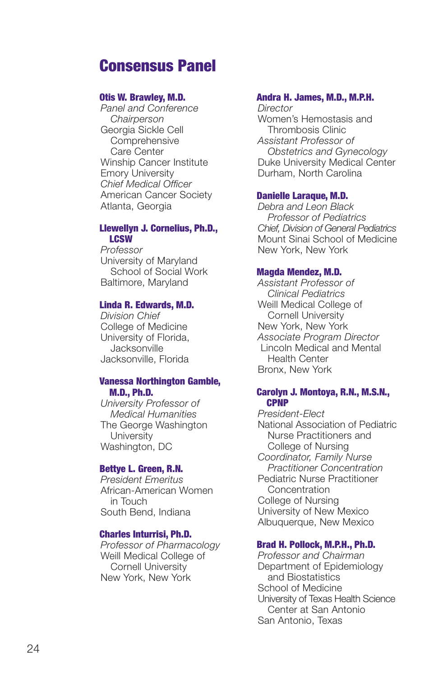# Consensus Panel

#### Otis W. Brawley, M.D.

 *Panel and Conference*  Georgia Sickle Cell *Chairperson*  **Comprehensive** Care Center Winship Cancer Institute Emory University *Chief Medical Officer*  American Cancer Society Atlanta, Georgia

### Llewellyn J. Cornelius, Ph.D., **LCSW**

 University of Maryland *Professor*  School of Social Work Baltimore, Maryland

#### Linda R. Edwards, M.D.

 University of Florida, *Division Chief*  College of Medicine **Jacksonville** Jacksonville, Florida

#### Vanessa Northington Gamble, M.D., Ph.D.

 *University Professor of*  The George Washington *Medical Humanities*  **University** Washington, DC

#### Bettye L. Green, R.N.

 African-American Women *President Emeritus*  in Touch South Bend, Indiana

#### Charles Inturrisi, Ph.D.

 Weill Medical College of *Professor of Pharmacology*  Cornell University New York, New York

#### Andra H. James, M.D., M.P.H.

 *Assistant Professor of Director*  Women's Hemostasis and Thrombosis Clinic *Obstetrics and Gynecology*  Duke University Medical Center Durham, North Carolina

#### Danielle Laraque, M.D.

*Debra and Leon Black Professor of Pediatrics Chief, Division of General Pediatrics*  Mount Sinai School of Medicine New York, New York

#### Magda Mendez, M.D.

 *Assistant Professor of*  Weill Medical College of Lincoln Medical and Mental *Clinical Pediatrics*  Cornell University New York, New York *Associate Program Director*  Health Center Bronx, New York

#### Carolyn J. Montoya, R.N., M.S.N., **CPNP**

 Nurse Practitioners and Pediatric Nurse Practitioner *President-Elect*  National Association of Pediatric College of Nursing *Coordinator, Family Nurse Practitioner Concentration*  Concentration College of Nursing University of New Mexico Albuquerque, New Mexico

#### Brad H. Pollock, M.P.H., Ph.D.

 Department of Epidemiology University of Texas Health Science *Professor and Chairman*  and Biostatistics School of Medicine Center at San Antonio San Antonio, Texas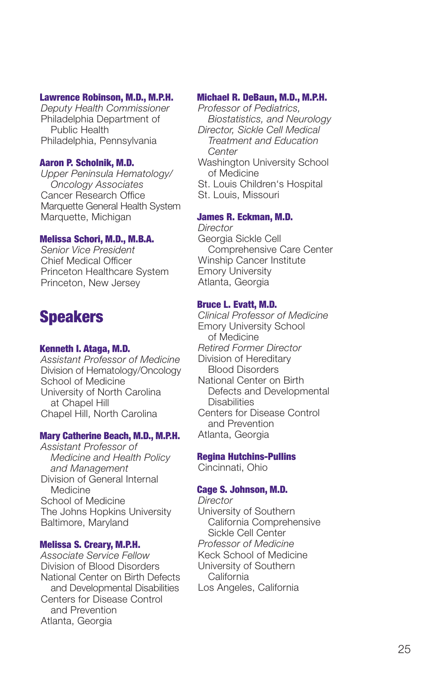## Lawrence Robinson, M.D., M.P.H.

*Deputy Health Commissioner*  Philadelphia Department of Public Health Philadelphia, Pennsylvania

## Aaron P. Scholnik, M.D.

*Upper Peninsula Hematology/ Oncology Associates*  Cancer Research Office Marquette General Health System Marquette, Michigan

## Melissa Schori, M.D., M.B.A.

*Senior Vice President*  Chief Medical Officer Princeton Healthcare System Princeton, New Jersey

# Speakers

## Kenneth I. Ataga, M.D.

 University of North Carolina *Assistant Professor of Medicine*  Division of Hematology/Oncology School of Medicine at Chapel Hill Chapel Hill, North Carolina

## Mary Catherine Beach, M.D., M.P.H.

 *Assistant Professor of Medicine and Health Policy*  Division of General Internal *and Management*  **Medicine** School of Medicine The Johns Hopkins University Baltimore, Maryland

## Melissa S. Creary, M.P.H.

 National Center on Birth Defects Centers for Disease Control *Associate Service Fellow*  Division of Blood Disorders and Developmental Disabilities and Prevention Atlanta, Georgia

## Michael R. DeBaun, M.D., M.P.H.

 *Professor of Pediatrics, Director, Sickle Cell Medical Treatment and Education*  Washington University School *Biostatistics, and Neurology Center*  of Medicine

St. Louis Children's Hospital

St. Louis, Missouri

## James R. Eckman, M.D.

 Georgia Sickle Cell *Director*  Comprehensive Care Center Winship Cancer Institute Emory University Atlanta, Georgia

# Bruce L. Evatt, M.D.

 Emory University School Division of Hereditary National Center on Birth Centers for Disease Control *Clinical Professor of Medicine*  of Medicine *Retired Former Director*  Blood Disorders Defects and Developmental **Disabilities** and Prevention Atlanta, Georgia

## Regina Hutchins-Pullins

Cincinnati, Ohio

## Cage S. Johnson, M.D.

 University of Southern University of Southern *Director*  California Comprehensive Sickle Cell Center *Professor of Medicine*  Keck School of Medicine **California** Los Angeles, California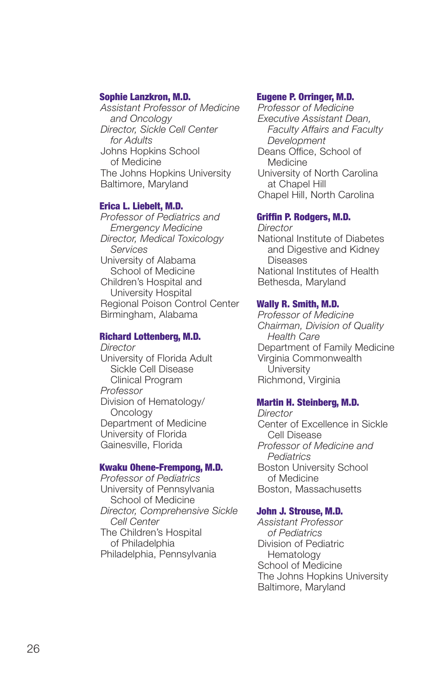#### Sophie Lanzkron, M.D.

 *Assistant Professor of Medicine Director, Sickle Cell Center*  Johns Hopkins School *and Oncology for Adults*  of Medicine The Johns Hopkins University Baltimore, Maryland

### Erica L. Liebelt, M.D.

 *Professor of Pediatrics and Director, Medical Toxicology*  University of Alabama Children's Hospital and *Emergency Medicine Services*  School of Medicine University Hospital Regional Poison Control Center Birmingham, Alabama

## Richard Lottenberg, M.D.

 University of Florida Adult Sickle Cell Disease *Director*  Clinical Program *Professor*  Division of Hematology/ Oncology Department of Medicine University of Florida Gainesville, Florida

#### Kwaku Ohene-Frempong, M.D.

 University of Pennsylvania The Children's Hospital *Professor of Pediatrics*  School of Medicine *Director, Comprehensive Sickle Cell Center*  of Philadelphia Philadelphia, Pennsylvania

#### Eugene P. Orringer, M.D.

 *Faculty Affairs and Faculty*  Deans Office, School of University of North Carolina *Professor of Medicine Executive Assistant Dean, Development*  Medicine at Chapel Hill Chapel Hill, North Carolina

#### Griffin P. Rodgers, M.D.

 National Institute of Diabetes and Digestive and Kidney *Director*  Diseases National Institutes of Health Bethesda, Maryland

#### Wally R. Smith, M.D.

 *Chairman, Division of Quality Professor of Medicine Health Care*  Department of Family Medicine Virginia Commonwealth **University** Richmond, Virginia

#### Martin H. Steinberg, M.D.

 Center of Excellence in Sickle Boston University School *Director*  Cell Disease *Professor of Medicine and Pediatrics*  of Medicine Boston, Massachusetts

## John J. Strouse, M.D.

 *Assistant Professor*  Division of Pediatric *of Pediatrics*  Hematology School of Medicine The Johns Hopkins University Baltimore, Maryland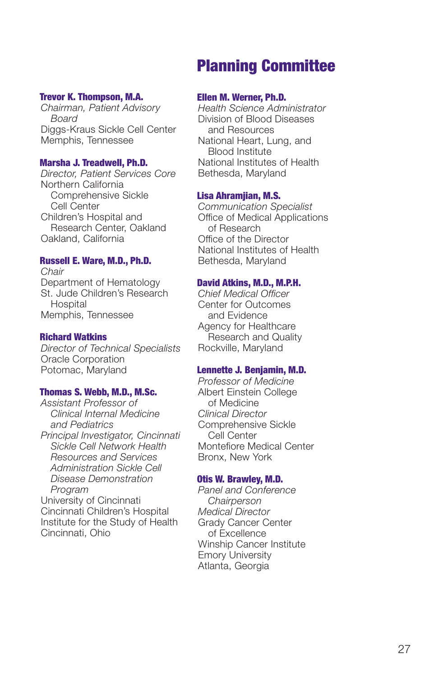# Planning Committee

## Trevor K. Thompson, M.A.

 *Chairman, Patient Advisory Board*  Diggs-Kraus Sickle Cell Center Memphis, Tennessee

#### Marsha J. Treadwell, Ph.D.

 Northern California Comprehensive Sickle Children's Hospital and *Director, Patient Services Core*  Cell Center Research Center, Oakland Oakland, California

### Russell E. Ware, M.D., Ph.D.

 St. Jude Children's Research *Chair*  Department of Hematology **Hospital** Memphis, Tennessee

### Richard Watkins

*Director of Technical Specialists*  Oracle Corporation Potomac, Maryland

### Thomas S. Webb, M.D., M.Sc.

 *Assistant Professor of Clinical Internal Medicine Sickle Cell Network Health Resources and Services Administration Sickle Cell and Pediatrics Principal Investigator, Cincinnati Disease Demonstration Program*  University of Cincinnati Cincinnati Children's Hospital Institute for the Study of Health Cincinnati, Ohio

#### Ellen M. Werner, Ph.D.

 Division of Blood Diseases *Health Science Administrator*  and Resources National Heart, Lung, and Blood Institute National Institutes of Health Bethesda, Maryland

#### Lisa Ahramjian, M.S.

 Office of Medical Applications *Communication Specialist*  of Research Office of the Director National Institutes of Health Bethesda, Maryland

## David Atkins, M.D., M.P.H.

 Center for Outcomes Agency for Healthcare *Chief Medical Officer*  and Evidence Research and Quality Rockville, Maryland

## Lennette J. Benjamin, M.D.

 Albert Einstein College Comprehensive Sickle *Professor of Medicine*  of Medicine *Clinical Director*  Cell Center Montefiore Medical Center Bronx, New York

## Otis W. Brawley, M.D.

 *Panel and Conference*  Grady Cancer Center *Chairperson Medical Director*  of Excellence Winship Cancer Institute Emory University Atlanta, Georgia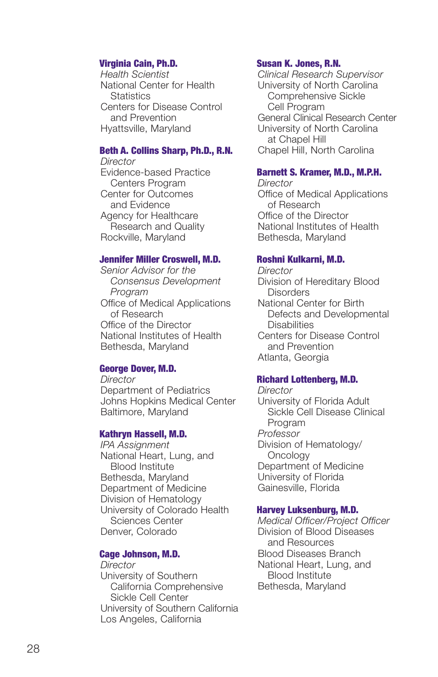#### Virginia Cain, Ph.D.

 National Center for Health Centers for Disease Control *Health Scientist*  **Statistics** and Prevention Hyattsville, Maryland

### Beth A. Collins Sharp, Ph.D., R.N.

 Evidence-based Practice Center for Outcomes Agency for Healthcare *Director*  Centers Program and Evidence Research and Quality Rockville, Maryland

### Jennifer Miller Croswell, M.D.

 *Senior Advisor for the*  Office of Medical Applications *Consensus Development Program*  of Research Office of the Director National Institutes of Health Bethesda, Maryland

## George Dover, M.D.

*Director*  Department of Pediatrics Johns Hopkins Medical Center Baltimore, Maryland

## Kathryn Hassell, M.D.

 University of Colorado Health *IPA Assignment*  National Heart, Lung, and Blood Institute Bethesda, Maryland Department of Medicine Division of Hematology Sciences Center Denver, Colorado

#### Cage Johnson, M.D.

 University of Southern *Director*  California Comprehensive Sickle Cell Center University of Southern California Los Angeles, California

#### Susan K. Jones, R.N.

 University of North Carolina Comprehensive Sickle University of North Carolina *Clinical Research Supervisor*  Cell Program General Clinical Research Center at Chapel Hill Chapel Hill, North Carolina

# Barnett S. Kramer, M.D., M.P.H.

 Office of Medical Applications *Director*  of Research Office of the Director National Institutes of Health Bethesda, Maryland

### Roshni Kulkarni, M.D.

 Division of Hereditary Blood Centers for Disease Control *Director*  **Disorders** National Center for Birth Defects and Developmental **Disabilities** and Prevention Atlanta, Georgia

## Richard Lottenberg, M.D.

 University of Florida Adult Sickle Cell Disease Clinical *Director*  Program *Professor*  Division of Hematology/ **Oncology** Department of Medicine University of Florida Gainesville, Florida

#### Harvey Luksenburg, M.D.

 Division of Blood Diseases *Medical Officer/Project Officer*  and Resources Blood Diseases Branch National Heart, Lung, and Blood Institute Bethesda, Maryland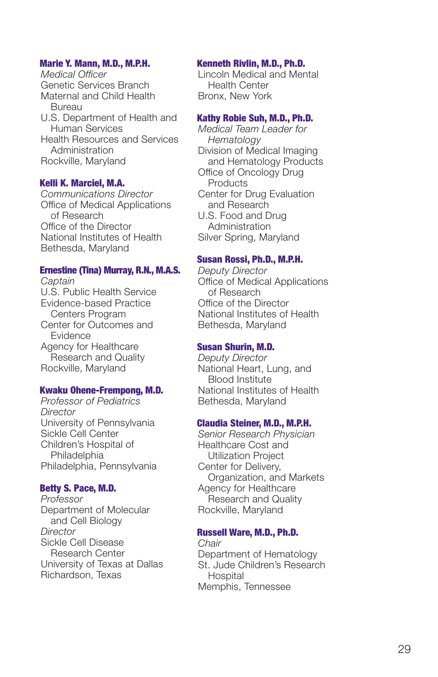### Marie Y. Mann, M.D., M.P.H.

 U.S. Department of Health and Health Resources and Services *Medical Officer*  Genetic Services Branch Maternal and Child Health **Bureau** Human Services Administration Rockville, Maryland

#### Kelli K. Marciel, M.A.

 Office of Medical Applications *Communications Director*  of Research Office of the Director National Institutes of Health Bethesda, Maryland

#### Ernestine (Tina) Murray, R.N., M.A.S.

 Evidence-based Practice Center for Outcomes and Agency for Healthcare *Captain*  U.S. Public Health Service Centers Program Evidence Research and Quality Rockville, Maryland

#### Kwaku Ohene-Frempong, M.D.

 Children's Hospital of *Professor of Pediatrics Director*  University of Pennsylvania Sickle Cell Center **Philadelphia** Philadelphia, Pennsylvania

#### Betty S. Pace, M.D.

 Department of Molecular Sickle Cell Disease *Professor*  and Cell Biology *Director*  Research Center University of Texas at Dallas Richardson, Texas

#### Kenneth Rivlin, M.D., Ph.D.

 Lincoln Medical and Mental Health Center Bronx, New York

#### Kathy Robie Suh, M.D., Ph.D.

 *Medical Team Leader for*  Division of Medical Imaging Office of Oncology Drug Center for Drug Evaluation U.S. Food and Drug *Hematology*  and Hematology Products **Products** and Research Administration Silver Spring, Maryland

### Susan Rossi, Ph.D., M.P.H.

 Office of Medical Applications *Deputy Director*  of Research Office of the Director National Institutes of Health Bethesda, Maryland

## Susan Shurin, M.D.

*Deputy Director*  National Heart, Lung, and Blood Institute National Institutes of Health Bethesda, Maryland

#### Claudia Steiner, M.D., M.P.H.

 Healthcare Cost and Center for Delivery, Agency for Healthcare *Senior Research Physician*  Utilization Project Organization, and Markets Research and Quality Rockville, Maryland

### Russell Ware, M.D., Ph.D.

 St. Jude Children's Research *Chair*  Department of Hematology **Hospital** Memphis, Tennessee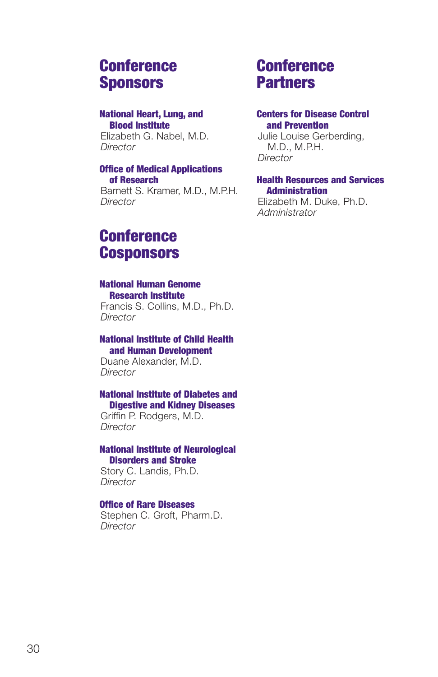# **Conference Sponsors**

### National Heart, Lung, and Blood Institute

Elizabeth G. Nabel, M.D. *Director* 

# Office of Medical Applications

of Research Barnett S. Kramer, M.D., M.P.H. *Director* 

# **Conference Cosponsors**

### National Human Genome Research Institute

Francis S. Collins, M.D., Ph.D. *Director* 

#### National Institute of Child Health and Human Development

Duane Alexander, M.D. *Director* 

# National Institute of Diabetes and

Digestive and Kidney Diseases Griffin P. Rodgers, M.D. *Director* 

### National Institute of Neurological Disorders and Stroke

Story C. Landis, Ph.D. *Director* 

## Office of Rare Diseases

Stephen C. Groft, Pharm.D. *Director* 

# **Conference Partners**

### Centers for Disease Control and Prevention

 Julie Louise Gerberding, M.D., M.P.H. *Director* 

## Health Resources and Services **Administration**

Elizabeth M. Duke, Ph.D. *Administrator*